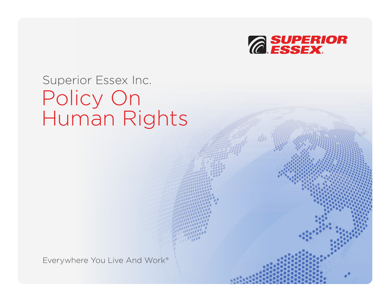

## Superior Essex Inc. Policy On Human Rights

Everywhere You Live And Work®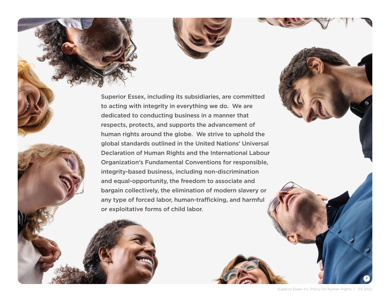

Superior Essex, including its subsidiaries, are committed to acting with integrity in everything we do. We are dedicated to conducting business in a manner that respects, protects, and supports the advancement of human rights around the globe. We strive to uphold the global standards outlined in the United Nations' Universal Declaration of Human Rights and the International Labour Organization's Fundamental Conventions for responsible, integrity-based business, including non-discrimination and equal-opportunity, the freedom to associate and bargain collectively, the elimination of modern slavery or any type of forced labor, human-trafficking, and harmful or exploitative forms of child labor.

2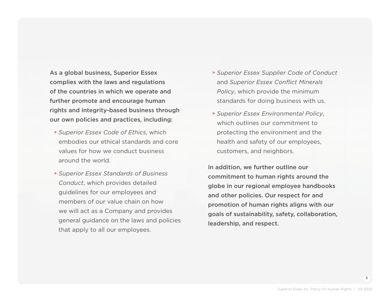As a global business, Superior Essex complies with the laws and regulations of the countries in which we operate and further promote and encourage human rights and integrity-based business through our own policies and practices, including:

- **<sup>&</sup>gt;** *Superior Essex Code of Ethics*, which embodies our ethical standards and core values for how we conduct business around the world.
- **<sup>&</sup>gt;** *Superior Essex Standards of Business Conduct*, which provides detailed guidelines for our employees and members of our value chain on how we will act as a Company and provides general guidance on the laws and policies that apply to all our employees.
- **<sup>&</sup>gt;** *Superior Essex Supplier Code of Conduct* and *Superior Essex Conflict Minerals Policy*, which provide the minimum standards for doing business with us.
- **<sup>&</sup>gt;** *Superior Essex Environmental Policy*, which outlines our commitment to protecting the environment and the health and safety of our employees, customers, and neighbors.

In addition, we further outline our commitment to human rights around the globe in our regional employee handbooks and other policies. Our respect for and promotion of human rights aligns with our goals of sustainability, safety, collaboration, leadership, and respect.

3